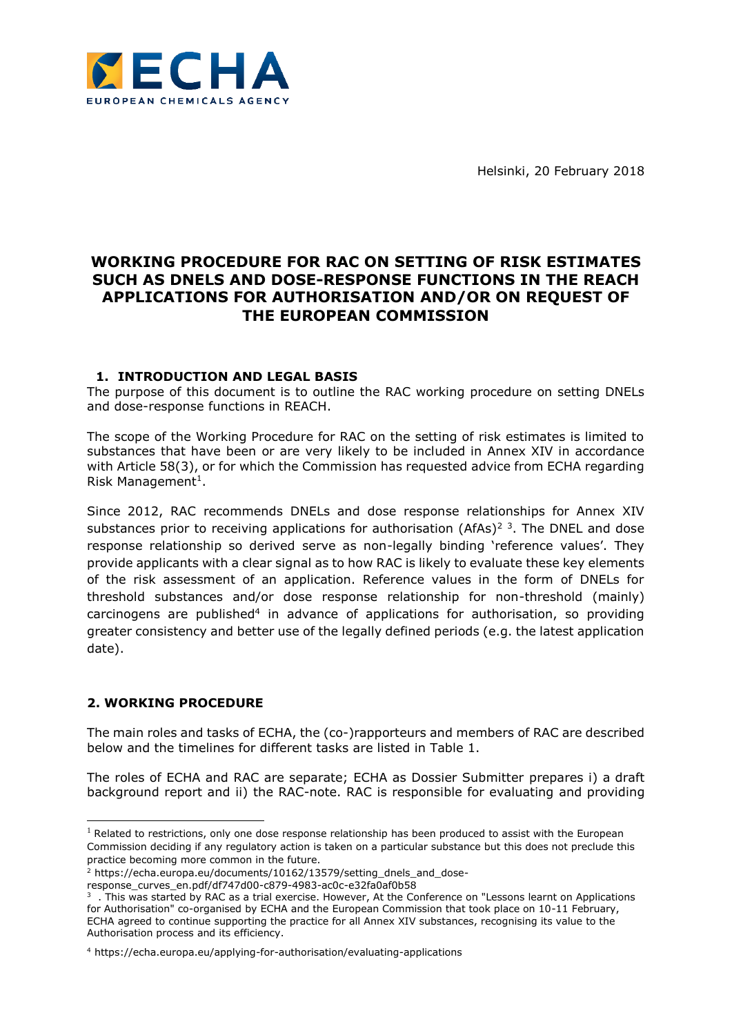

Helsinki, 20 February 2018

## **WORKING PROCEDURE FOR RAC ON SETTING OF RISK ESTIMATES SUCH AS DNELS AND DOSE-RESPONSE FUNCTIONS IN THE REACH APPLICATIONS FOR AUTHORISATION AND/OR ON REQUEST OF THE EUROPEAN COMMISSION**

## **1. INTRODUCTION AND LEGAL BASIS**

The purpose of this document is to outline the RAC working procedure on setting DNELs and dose-response functions in REACH.

The scope of the Working Procedure for RAC on the setting of risk estimates is limited to substances that have been or are very likely to be included in Annex XIV in accordance with Article 58(3), or for which the Commission has requested advice from ECHA regarding Risk Management<sup>1</sup>.

Since 2012, RAC recommends DNELs and dose response relationships for Annex XIV substances prior to receiving applications for authorisation (AfAs)<sup>2</sup><sup>3</sup>. The DNEL and dose response relationship so derived serve as non-legally binding 'reference values'. They provide applicants with a clear signal as to how RAC is likely to evaluate these key elements of the risk assessment of an application. Reference values in the form of DNELs for threshold substances and/or dose response relationship for non-threshold (mainly) carcinogens are published<sup>4</sup> in advance of applications for authorisation, so providing greater consistency and better use of the legally defined periods (e.g. the latest application date).

## **2. WORKING PROCEDURE**

-

The main roles and tasks of ECHA, the (co-)rapporteurs and members of RAC are described below and the timelines for different tasks are listed in Table 1.

The roles of ECHA and RAC are separate; ECHA as Dossier Submitter prepares i) a draft background report and ii) the RAC-note. RAC is responsible for evaluating and providing

 $<sup>1</sup>$  Related to restrictions, only one dose response relationship has been produced to assist with the European</sup> Commission deciding if any regulatory action is taken on a particular substance but this does not preclude this practice becoming more common in the future.

<sup>&</sup>lt;sup>2</sup> https://echa.europa.eu/documents/10162/13579/setting\_dnels\_and\_dose-

response\_curves\_en.pdf/df747d00-c879-4983-ac0c-e32fa0af0b58

 $3$ . This was started by RAC as a trial exercise. However, At the Conference on "Lessons learnt on Applications for Authorisation" co-organised by ECHA and the European Commission that took place on 10-11 February, ECHA agreed to continue supporting the practice for all Annex XIV substances, recognising its value to the Authorisation process and its efficiency.

<sup>4</sup> https://echa.europa.eu/applying-for-authorisation/evaluating-applications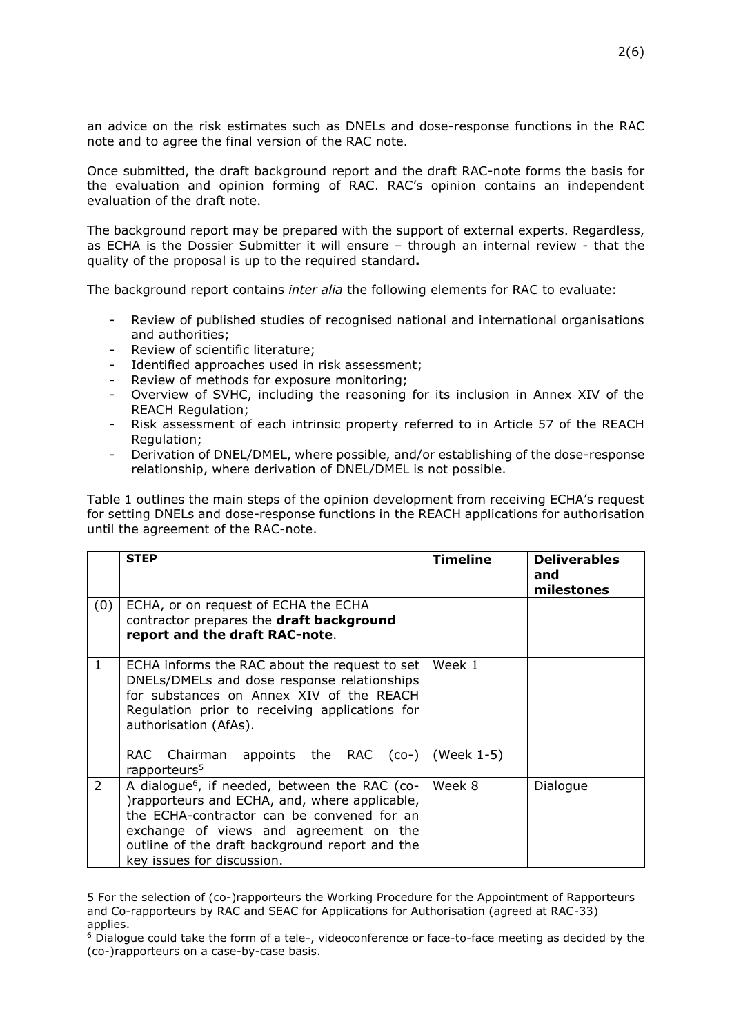an advice on the risk estimates such as DNELs and dose-response functions in the RAC note and to agree the final version of the RAC note.

Once submitted, the draft background report and the draft RAC-note forms the basis for the evaluation and opinion forming of RAC. RAC's opinion contains an independent evaluation of the draft note.

The background report may be prepared with the support of external experts. Regardless, as ECHA is the Dossier Submitter it will ensure – through an internal review - that the quality of the proposal is up to the required standard**.**

The background report contains *inter alia* the following elements for RAC to evaluate:

- Review of published studies of recognised national and international organisations and authorities;
- Review of scientific literature;

-

- Identified approaches used in risk assessment;
- Review of methods for exposure monitoring;
- Overview of SVHC, including the reasoning for its inclusion in Annex XIV of the REACH Regulation;
- Risk assessment of each intrinsic property referred to in Article 57 of the REACH Regulation;
- Derivation of DNEL/DMEL, where possible, and/or establishing of the dose-response relationship, where derivation of DNEL/DMEL is not possible.

Table 1 outlines the main steps of the opinion development from receiving ECHA's request for setting DNELs and dose-response functions in the REACH applications for authorisation until the agreement of the RAC-note.

|              | <b>STEP</b>                                                                                                                                                                                                                                                                        | <b>Timeline</b> | <b>Deliverables</b><br>and<br>milestones |
|--------------|------------------------------------------------------------------------------------------------------------------------------------------------------------------------------------------------------------------------------------------------------------------------------------|-----------------|------------------------------------------|
| (0)          | ECHA, or on request of ECHA the ECHA<br>contractor prepares the draft background<br>report and the draft RAC-note.                                                                                                                                                                 |                 |                                          |
| $\mathbf{1}$ | ECHA informs the RAC about the request to set<br>DNELs/DMELs and dose response relationships<br>for substances on Annex XIV of the REACH<br>Regulation prior to receiving applications for<br>authorisation (AfAs).                                                                | Week 1          |                                          |
|              | Chairman appoints the RAC $(co-)$ (Week 1-5)<br>RAC.<br>rapporteurs <sup>5</sup>                                                                                                                                                                                                   |                 |                                          |
| $\mathbf{2}$ | A dialogue <sup>6</sup> , if needed, between the RAC (co-<br>)rapporteurs and ECHA, and, where applicable,<br>the ECHA-contractor can be convened for an<br>exchange of views and agreement on the<br>outline of the draft background report and the<br>key issues for discussion. | Week 8          | Dialogue                                 |

<sup>5</sup> For the selection of (co-)rapporteurs the Working Procedure for the Appointment of Rapporteurs and Co-rapporteurs by RAC and SEAC for Applications for Authorisation (agreed at RAC-33) applies.

 $6$  Dialogue could take the form of a tele-, videoconference or face-to-face meeting as decided by the (co-)rapporteurs on a case-by-case basis.